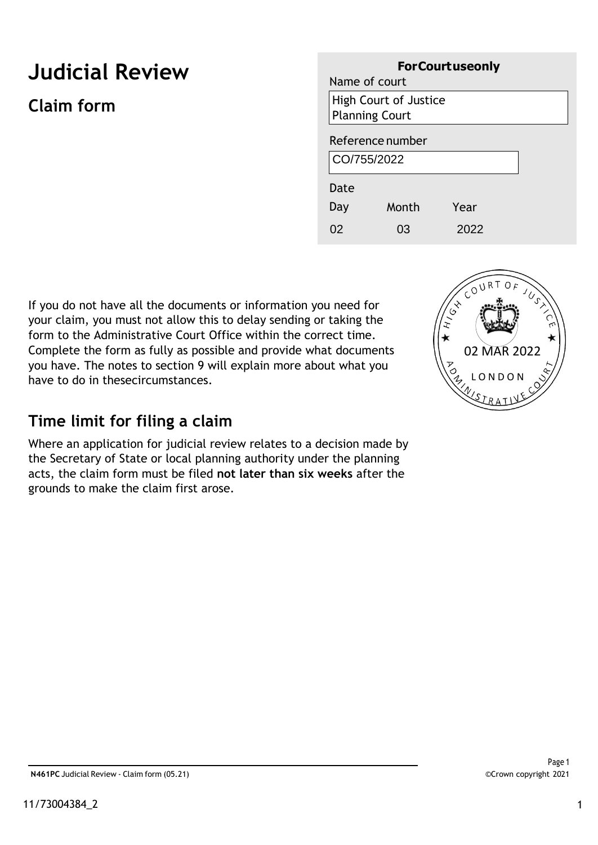# **Judicial Review**

**Claim form**

| <b>ForCourtuseonly</b> |                       |      |  |  |  |  |
|------------------------|-----------------------|------|--|--|--|--|
| Name of court          |                       |      |  |  |  |  |
|                        | High Court of Justice |      |  |  |  |  |
|                        | <b>Planning Court</b> |      |  |  |  |  |
|                        | Reference number      |      |  |  |  |  |
| CO/755/2022            |                       |      |  |  |  |  |
| Date                   |                       |      |  |  |  |  |
| Day                    | Month                 | Year |  |  |  |  |
|                        | 03                    |      |  |  |  |  |

If you do not have all the documents or information you need for your claim, you must not allow this to delay sending or taking the form to the Administrative Court Office within the correct time. Complete the form as fully as possible and provide what documents you have. The notes to section 9 will explain more about what you have to do in thesecircumstances.

## **Time limit for filing a claim**

Where an application for judicial review relates to a decision made by the Secretary of State or local planning authority under the planning acts, the claim form must be filed **not later than six weeks** after the grounds to make the claim first arose.

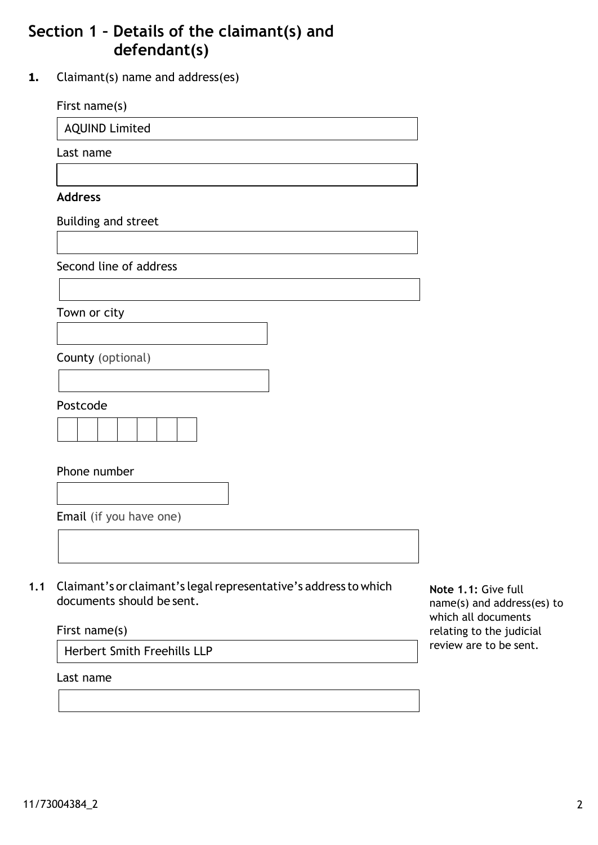## **Section 1 – Details of the claimant(s) and defendant(s)**

**1.** Claimant(s) name and address(es)

First name(s)

AQUIND Limited

Last name

### **Address**

Building and street

Second line of address

Town or city

County (optional)

Postcode



#### Phone number

Email (if you have one)

1.1 Claimant's or claimant's legal representative's address to which documents should be sent.

First name(s)

review are to be sent. Herbert Smith Freehills LLP

Last name

**Note 1.1:** Give full name(s) and address(es) to which all documents relating to the judicial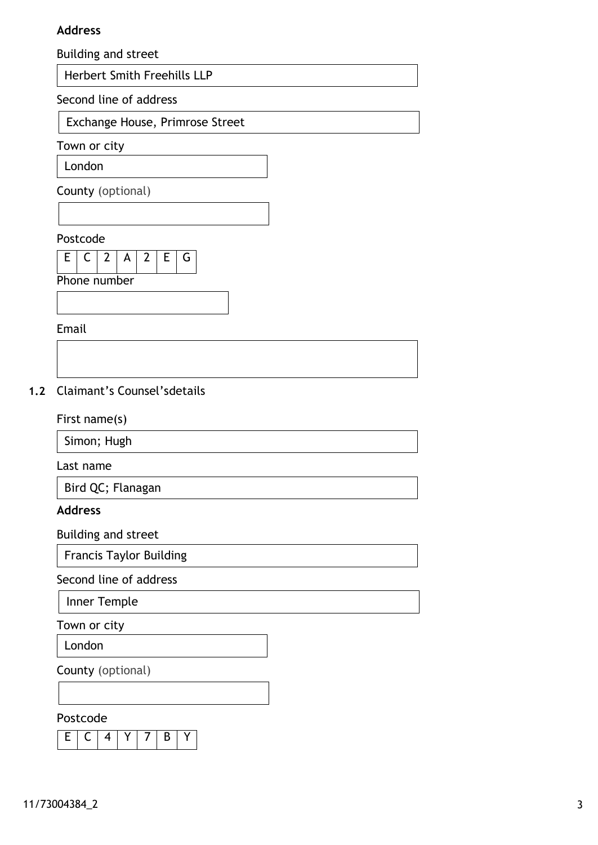#### **Address**

Building and street

Herbert Smith Freehills LLP

Second line of address

Exchange House, Primrose Street

Town or city

London

County (optional)

#### Postcode

| Phone number |  |  |  |  |  |  |  |
|--------------|--|--|--|--|--|--|--|

Email

#### **1.2** Claimant's Counsel'sdetails

First name(s)

Simon; Hugh

Last name

Bird QC; Flanagan

**Address**

Building and street

Francis Taylor Building

Second line of address

Inner Temple

Town or city

London

County (optional)

#### Postcode

| _ |  |  |  |  |  |  |  |
|---|--|--|--|--|--|--|--|
|---|--|--|--|--|--|--|--|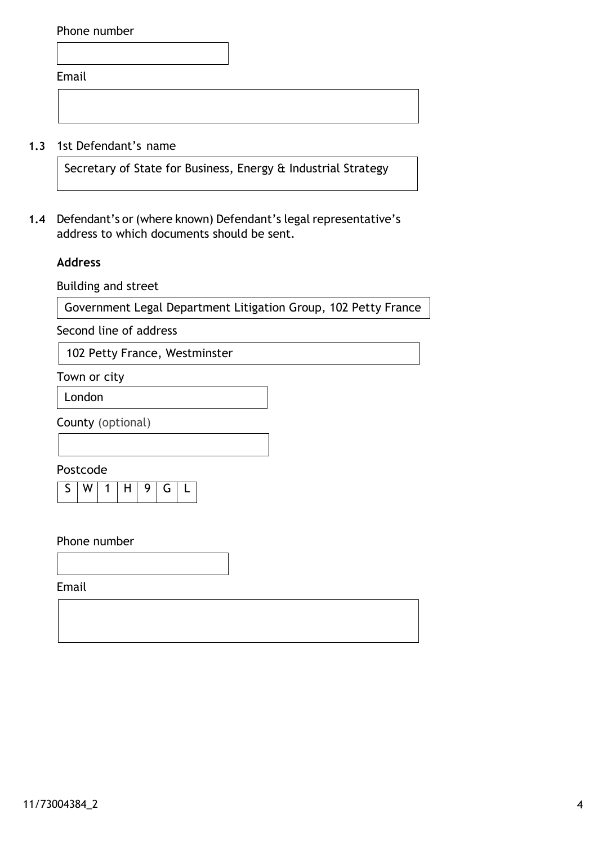#### Phone number

Email

**1.3** 1st Defendant's name

Secretary of State for Business, Energy & Industrial Strategy

**1.4** Defendant's or (where known) Defendant's legal representative's address to which documents should be sent.

#### **Address**

Building and street

Government Legal Department Litigation Group, 102 Petty France

Second line of address

102 Petty France, Westminster

Town or city

London

County (optional)

Postcode

| A / | $\sim$ | . . |  |
|-----|--------|-----|--|
|     |        |     |  |

#### Phone number

Email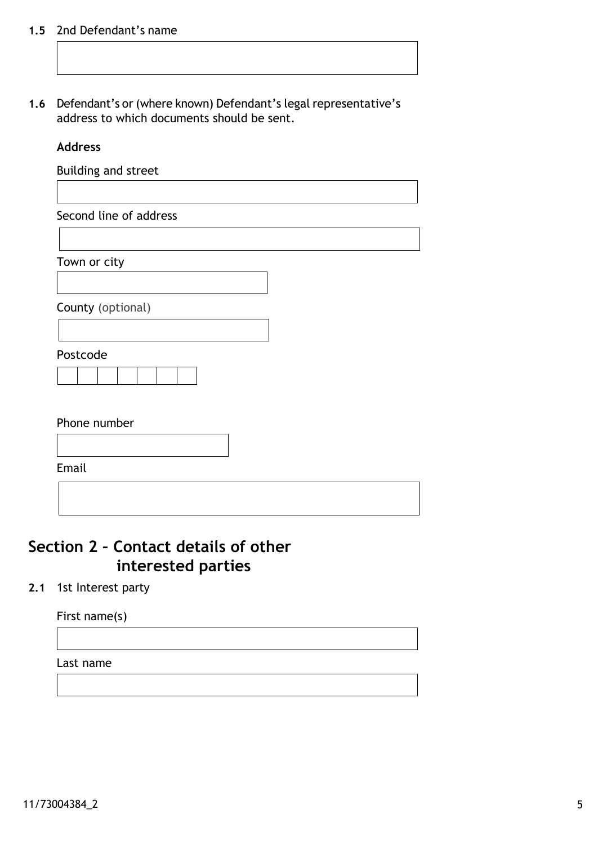**1.6** Defendant's or (where known) Defendant's legal representative's address to which documents should be sent.

#### **Address**

Building and street

Second line of address

Town or city

County (optional)

#### Postcode

#### Phone number

Email

### **Section 2 – Contact details of other interested parties**

#### **2.1** 1st Interest party

First name(s)

Last name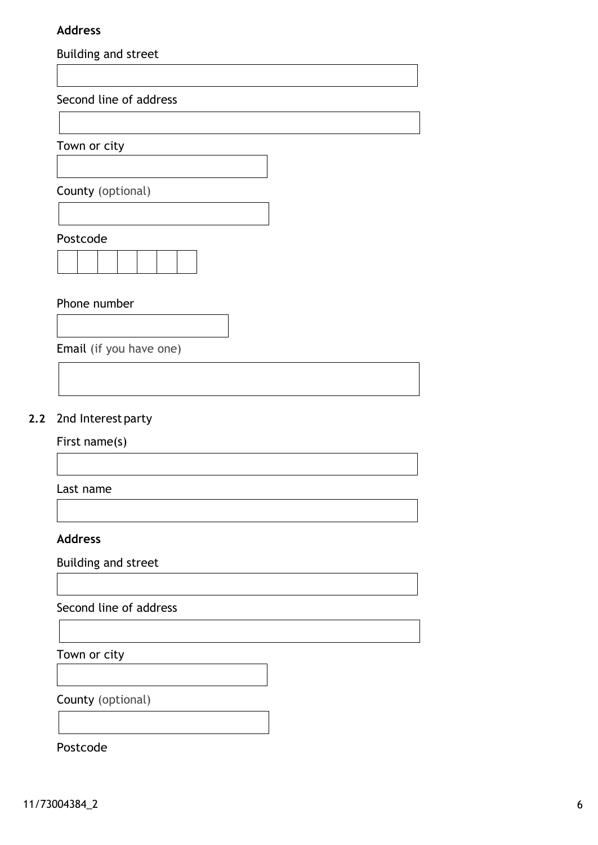#### **Address**

Building and street

Second line of address

Town or city

County (optional)

#### Postcode



#### Phone number

Email (if you have one)

### **2.2** 2nd Interest party

First name(s)

Last name

#### **Address**

Building and street

Second line of address

Town or city

County (optional)

Postcode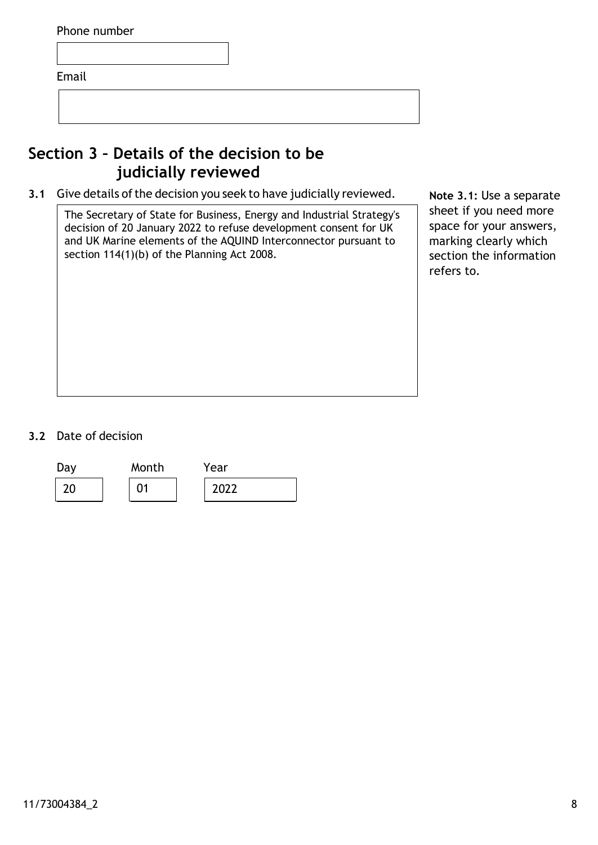|  | Phone number |
|--|--------------|
|--|--------------|

Email

### **Section 3 – Details of the decision to be judicially reviewed**

**3.1** Give details of the decision you seek to have judicially reviewed. Note 3.1: Use a separate

The Secretary of State for Business, Energy and Industrial Strategy's decision of 20 January 2022 to refuse development consent for UK and UK Marine elements of the AQUIND Interconnector pursuant to section 114(1)(b) of the Planning Act 2008.

sheet if you need more space for your answers, marking clearly which section the information refers to.

#### **3.2** Date of decision

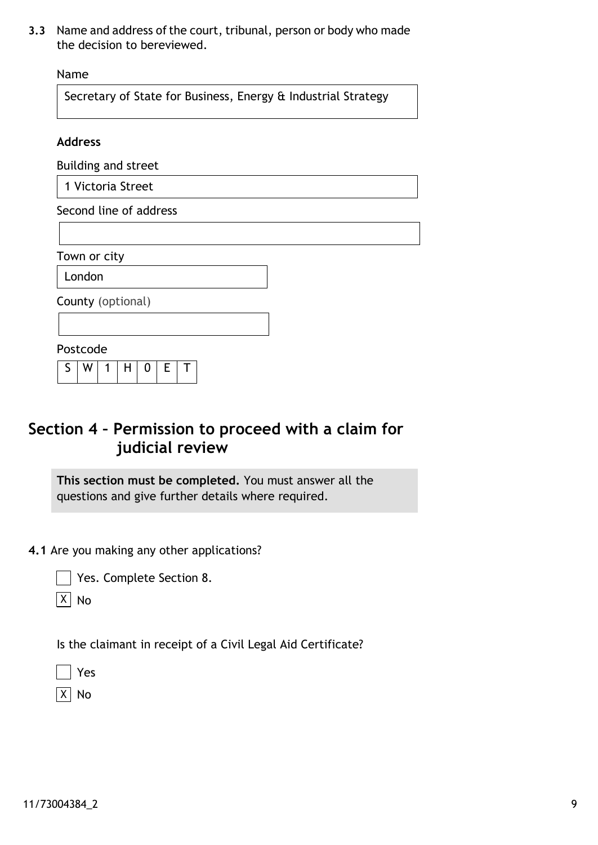**3.3** Name and address of the court, tribunal, person or body who made the decision to bereviewed.

Name

Secretary of State for Business, Energy & Industrial Strategy

#### **Address**

Building and street

1 Victoria Street

Second line of address

Town or city

London

County (optional)

Postcode

|  |  |  |  |  | - |  |
|--|--|--|--|--|---|--|
|--|--|--|--|--|---|--|

### **Section 4 – Permission to proceed with a claim for judicial review**

**This section must be completed.** You must answer all the questions and give further details where required.

- **4.1** Are you making any other applications?
	- Yes. Complete Section 8.
	- X | No

Is the claimant in receipt of a Civil Legal Aid Certificate?

Yes

X | No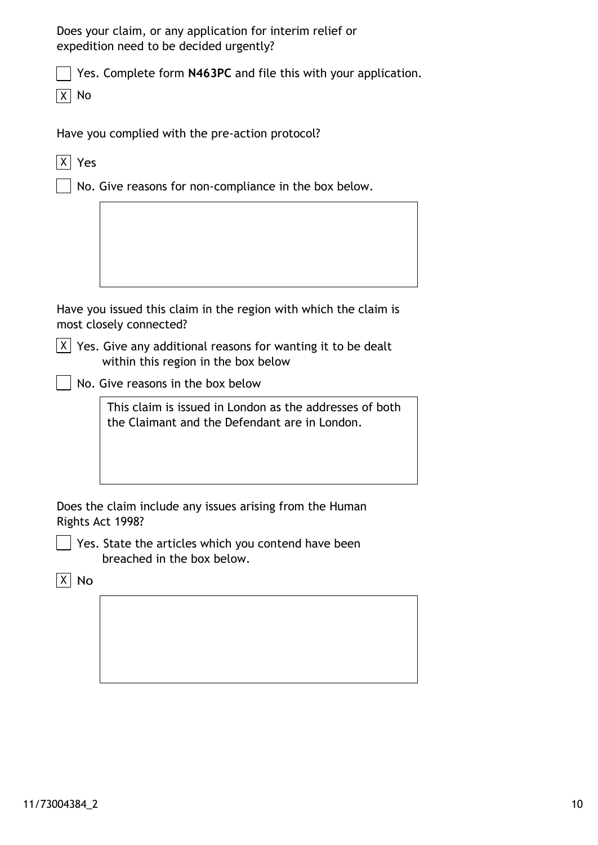Does your claim, or any application for interim relief or expedition need to be decided urgently?

Yes. Complete form **N463PC** and file this with your application.

No X

Have you complied with the pre-action protocol?

X Yes

No. Give reasons for non-compliance in the box below.

Have you issued this claim in the region with which the claim is most closely connected?

 $X$  Yes. Give any additional reasons for wanting it to be dealt within this region in the box below

No. Give reasons in the box below

This claim is issued in London as the addresses of both the Claimant and the Defendant are in London.

Does the claim include any issues arising from the Human Rights Act 1998?

Yes. State the articles which you contend have been breached in the box below.

X No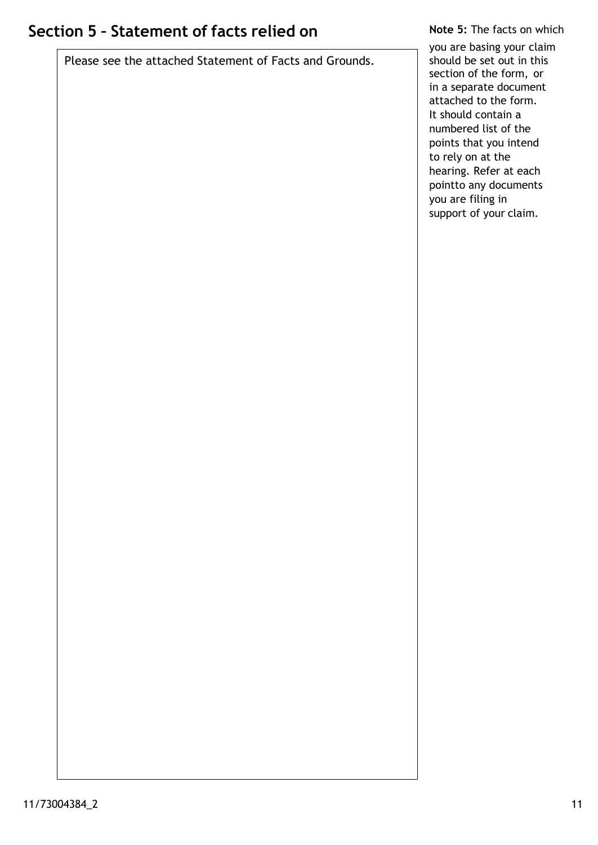Please see the attached Statement of Facts and Grounds.

you are basing your claim should be set out in this section of the form, or in a separate document attached to the form. It should contain a numbered list of the points that you intend to rely on at the hearing. Refer at each pointto any documents you are filing in support of your claim.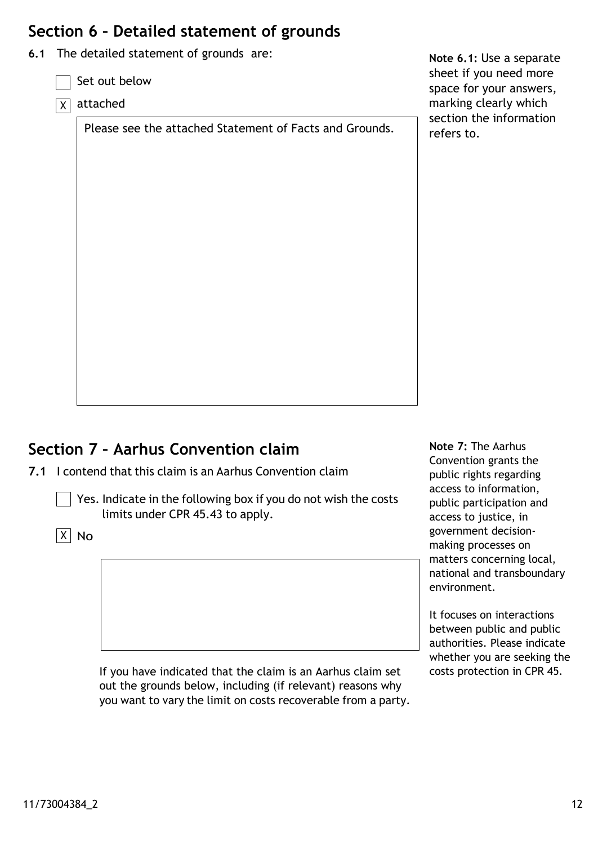## **Section 6 – Detailed statement of grounds**

**6.1** The detailed statement of grounds are:

 $\overline{\textsf{x}}$  attached

Please see the attached Statement of Facts and Grounds.

**Note 6.1:** Use a separate sheet if you need more space for your answers, marking clearly which section the information refers to.

## **Section 7 – Aarhus Convention claim**

- **7.1** I contend that this claim is an Aarhus Convention claim
	- Yes. Indicate in the following box if you do not wish the costs limits under CPR 45.43 to apply.
	- X No

**Note 7:** The Aarhus Convention grants the public rights regarding access to information, public participation and access to justice, in government decisionmaking processes on matters concerning local, national and transboundary environment.

It focuses on interactions between public and public authorities. Please indicate whether you are seeking the costs protection in CPR 45.

If you have indicated that the claim is an Aarhus claim set out the grounds below, including (if relevant) reasons why you want to vary the limit on costs recoverable from a party.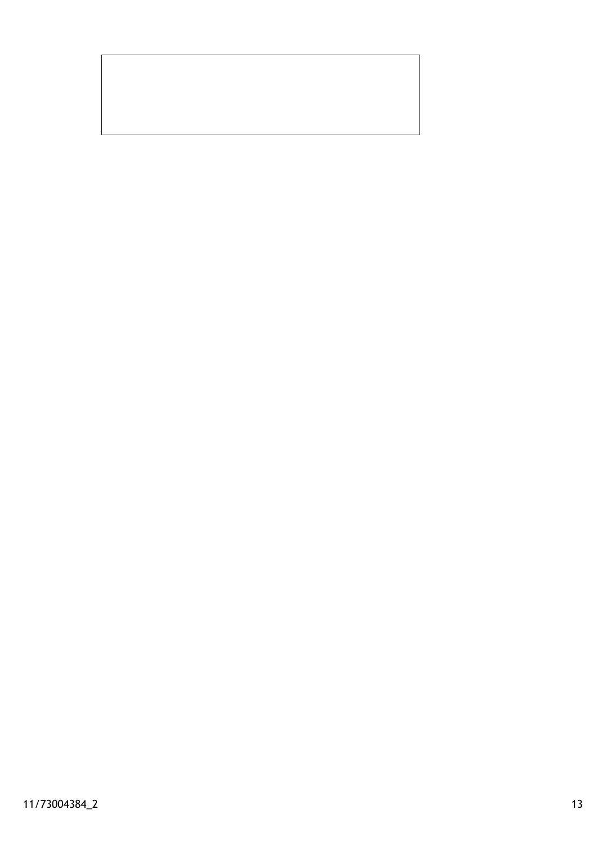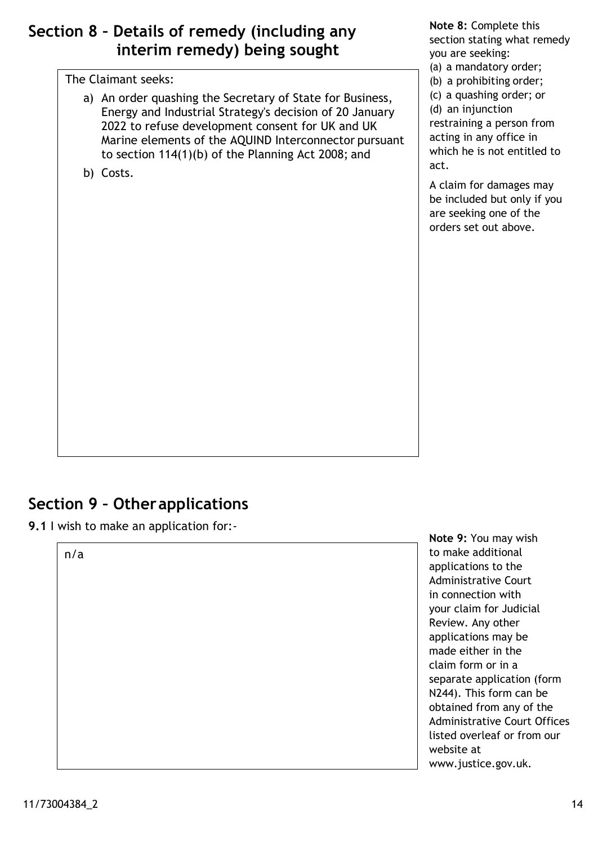### **Section 8 – Details of remedy (including any interim remedy) being sought**

#### The Claimant seeks:

- a) An order quashing the Secretary of State for Business, Energy and Industrial Strategy's decision of 20 January 2022 to refuse development consent for UK and UK Marine elements of the AQUIND Interconnector pursuant to section 114(1)(b) of the Planning Act 2008; and
- b) Costs.

**Note 8:** Complete this section stating what remedy you are seeking:

- (a) a mandatory order;
- (b) a prohibiting order;
- (c) a quashing order; or

(d) an injunction restraining a person from acting in any office in which he is not entitled to act.

A claim for damages may be included but only if you are seeking one of the orders set out above.

## **Section 9 – Otherapplications**

**9.1** I wish to make an application for:-

n/a

**Note 9:** You may wish to make additional applications to the Administrative Court in connection with your claim for Judicial Review. Any other applications may be made either in the claim form or in a separate application (form N244). This form can be obtained from any of the Administrative Court Offices listed overleaf or from our website a[t](http://www.justice.gov.uk/) [www.justice.gov.uk.](http://www.justice.gov.uk/)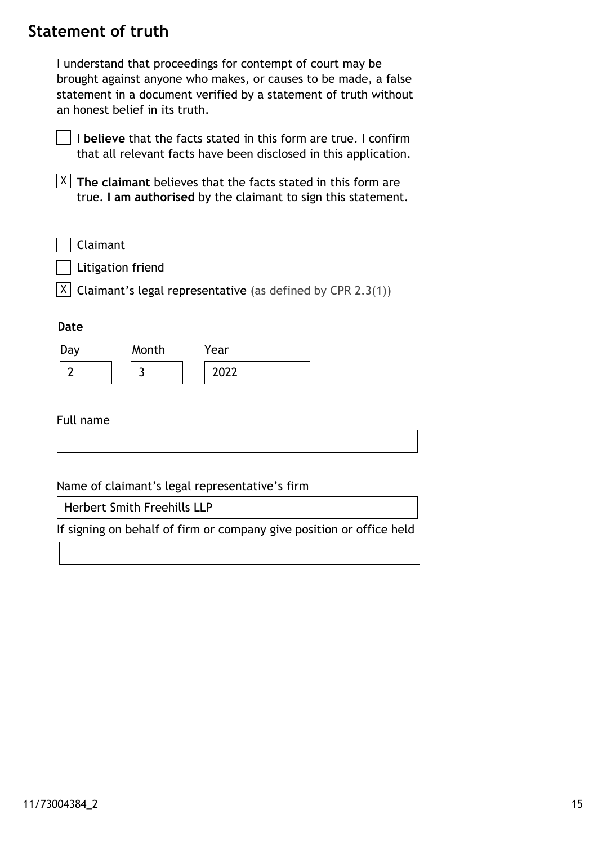### **Statement of truth**

I understand that proceedings for contempt of court may be brought against anyone who makes, or causes to be made, a false statement in a document verified by a statement of truth without an honest belief in its truth.

**I believe** that the facts stated in this form are true. I confirm that all relevant facts have been disclosed in this application.

 $\mathsf{X}$  **The claimant** believes that the facts stated in this form are true. **I am authorised** by the claimant to sign this statement.

Claimant

| Litigation friend

X Claimant's legal representative (as defined by CPR 2.3(1))

#### **Date**

| Day | Month | Year |
|-----|-------|------|
|     |       | 2022 |

Full name

Name of claimant's legal representative's firm

Herbert Smith Freehills LLP

If signing on behalf of firm or company give position or office held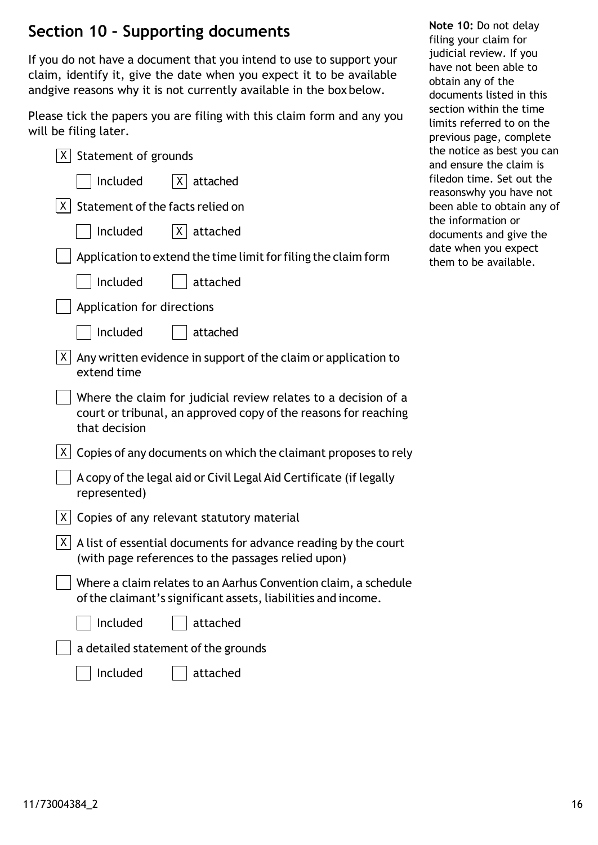## **Section 10 – Supporting documents**

If you do not have a document that you intend to use to support your claim, identify it, give the date when you expect it to be available andgive reasons why it is not currently available in the box below.

Please tick the papers you are filing with this claim form and any you will be filing later.

| De Titling tater.                                                                                                                                  | previous page, complete                               |
|----------------------------------------------------------------------------------------------------------------------------------------------------|-------------------------------------------------------|
| Statement of grounds<br> X                                                                                                                         | the notice as best you can<br>and ensure the claim is |
| Included<br>attached<br>$X \mid$                                                                                                                   | filedon time. Set out the<br>reasonswhy you have not  |
| X <br>Statement of the facts relied on                                                                                                             | been able to obtain any of                            |
| Included<br>attached<br> X                                                                                                                         | the information or<br>documents and give the          |
| Application to extend the time limit for filing the claim form                                                                                     | date when you expect<br>them to be available.         |
| Included<br>attached                                                                                                                               |                                                       |
| Application for directions                                                                                                                         |                                                       |
| Included<br>attached                                                                                                                               |                                                       |
| Any written evidence in support of the claim or application to<br>$\times$<br>extend time                                                          |                                                       |
| Where the claim for judicial review relates to a decision of a<br>court or tribunal, an approved copy of the reasons for reaching<br>that decision |                                                       |
| Copies of any documents on which the claimant proposes to rely<br>$X \mid$                                                                         |                                                       |
| A copy of the legal aid or Civil Legal Aid Certificate (if legally<br>represented)                                                                 |                                                       |
| X <br>Copies of any relevant statutory material                                                                                                    |                                                       |
| X <br>A list of essential documents for advance reading by the court<br>(with page references to the passages relied upon)                         |                                                       |
| Where a claim relates to an Aarhus Convention claim, a schedule<br>of the claimant's significant assets, liabilities and income.                   |                                                       |
| Included<br>attached                                                                                                                               |                                                       |
| a detailed statement of the grounds                                                                                                                |                                                       |
| Included<br>attached                                                                                                                               |                                                       |
|                                                                                                                                                    |                                                       |

**Note 10:** Do not delay filing your claim for judicial review. If you have not been able to obtain any of the

documents listed in this section within the time limits referred to on the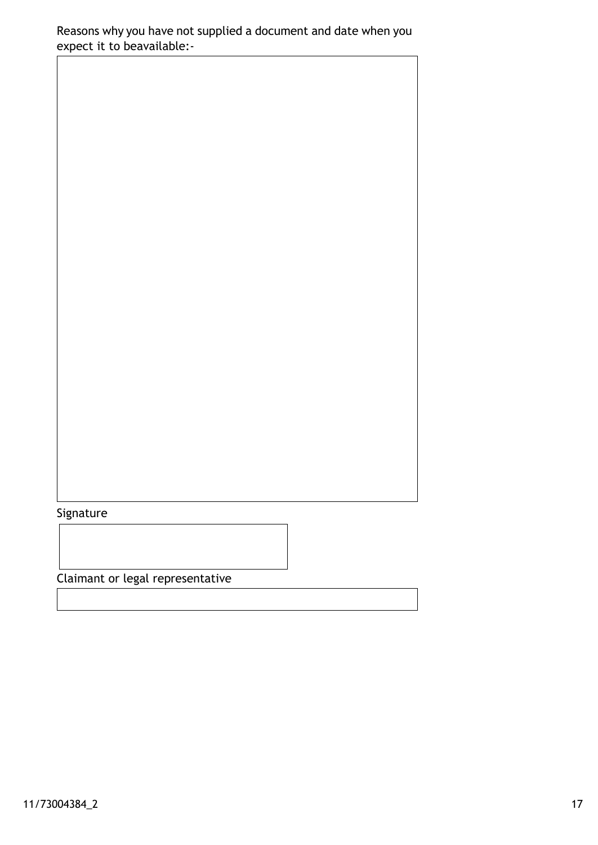Reasons why you have not supplied a document and date when you expect it to beavailable:-

Signature

Claimant or legal representative